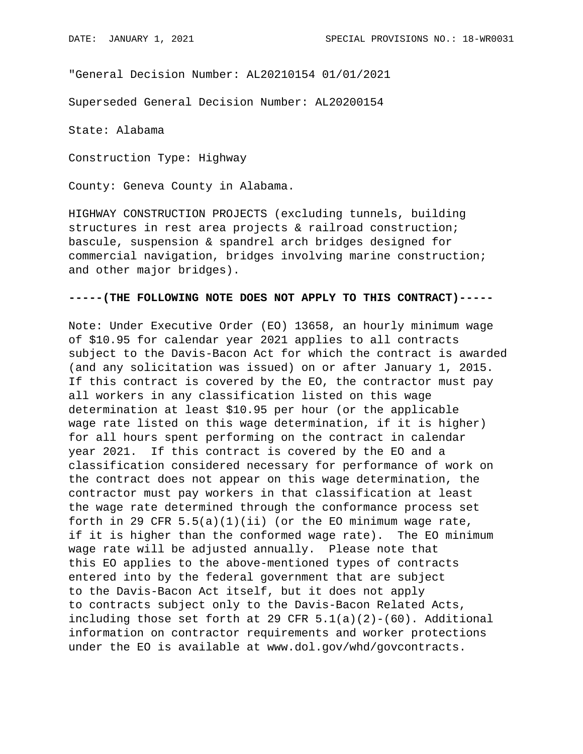"General Decision Number: AL20210154 01/01/2021

Superseded General Decision Number: AL20200154

State: Alabama

Construction Type: Highway

County: Geneva County in Alabama.

HIGHWAY CONSTRUCTION PROJECTS (excluding tunnels, building structures in rest area projects & railroad construction; bascule, suspension & spandrel arch bridges designed for commercial navigation, bridges involving marine construction; and other major bridges).

## **-----(THE FOLLOWING NOTE DOES NOT APPLY TO THIS CONTRACT)-----**

Note: Under Executive Order (EO) 13658, an hourly minimum wage of \$10.95 for calendar year 2021 applies to all contracts subject to the Davis-Bacon Act for which the contract is awarded (and any solicitation was issued) on or after January 1, 2015. If this contract is covered by the EO, the contractor must pay all workers in any classification listed on this wage determination at least \$10.95 per hour (or the applicable wage rate listed on this wage determination, if it is higher) for all hours spent performing on the contract in calendar year 2021. If this contract is covered by the EO and a classification considered necessary for performance of work on the contract does not appear on this wage determination, the contractor must pay workers in that classification at least the wage rate determined through the conformance process set forth in 29 CFR  $5.5(a)(1)(ii)$  (or the EO minimum wage rate, if it is higher than the conformed wage rate). The EO minimum wage rate will be adjusted annually. Please note that this EO applies to the above-mentioned types of contracts entered into by the federal government that are subject to the Davis-Bacon Act itself, but it does not apply to contracts subject only to the Davis-Bacon Related Acts, including those set forth at 29 CFR  $5.1(a)(2)-(60)$ . Additional information on contractor requirements and worker protections under the EO is available at www.dol.gov/whd/govcontracts.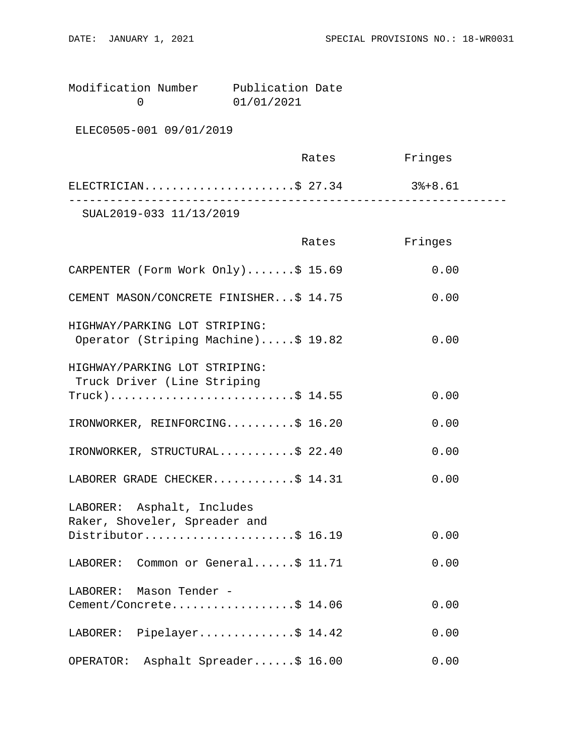| Modification Number | Publication Date |  |
|---------------------|------------------|--|
|                     | 01/01/2021       |  |

ELEC0505-001 09/01/2019

|                         | Rates | Fringes |  |
|-------------------------|-------|---------|--|
| ELECTRICIAN\$ 27.34     |       | 3%+8.61 |  |
| SUAL2019-033 11/13/2019 |       |         |  |

|                                                                      | Rates | Fringes |
|----------------------------------------------------------------------|-------|---------|
| CARPENTER (Form Work Only)\$ 15.69                                   |       | 0.00    |
| CEMENT MASON/CONCRETE FINISHER\$ 14.75                               |       | 0.00    |
| HIGHWAY/PARKING LOT STRIPING:<br>Operator (Striping Machine)\$ 19.82 |       | 0.00    |
| HIGHWAY/PARKING LOT STRIPING:<br>Truck Driver (Line Striping         |       |         |
| $True k$ )\$ 14.55                                                   |       | 0.00    |
| IRONWORKER, REINFORCING\$ 16.20                                      |       | 0.00    |
| IRONWORKER, STRUCTURAL\$ 22.40                                       |       | 0.00    |
| LABORER GRADE CHECKER\$ 14.31                                        |       | 0.00    |
| LABORER: Asphalt, Includes<br>Raker, Shoveler, Spreader and          |       |         |
| Distributor\$ 16.19                                                  |       | 0.00    |
| LABORER: Common or General\$ 11.71                                   |       | 0.00    |
| LABORER: Mason Tender -                                              |       |         |
| Cement/Concrete\$ 14.06                                              |       | 0.00    |
| LABORER: Pipelayer\$ 14.42                                           |       | 0.00    |
| Asphalt Spreader\$ 16.00<br>OPERATOR:                                |       | 0.00    |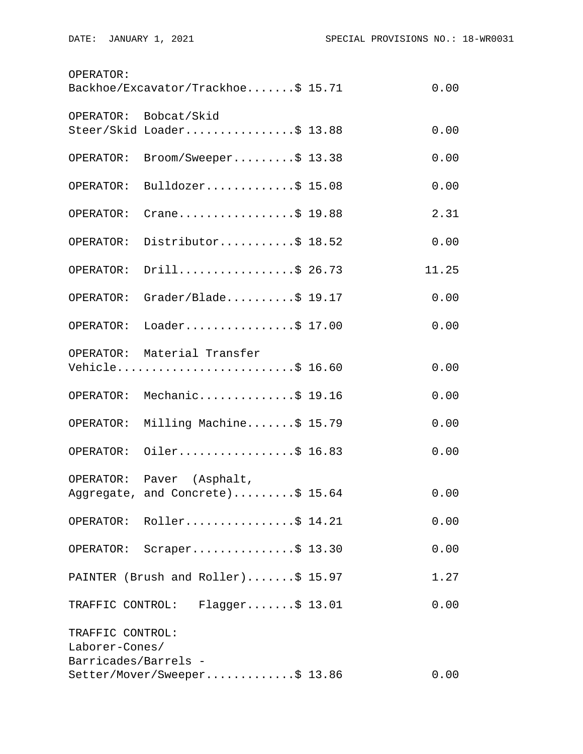| OPERATOR:                                                  | Backhoe/Excavator/Trackhoe\$ 15.71                  | 0.00  |
|------------------------------------------------------------|-----------------------------------------------------|-------|
|                                                            | OPERATOR: Bobcat/Skid                               |       |
|                                                            | Steer/Skid Loader\$ 13.88                           | 0.00  |
| OPERATOR:                                                  | Broom/Sweeper\$ 13.38                               | 0.00  |
| OPERATOR:                                                  | Bulldozer\$ 15.08                                   | 0.00  |
| OPERATOR:                                                  | Crane\$ 19.88                                       | 2.31  |
| OPERATOR:                                                  | Distributor\$ 18.52                                 | 0.00  |
| OPERATOR:                                                  | Drill\$ 26.73                                       | 11.25 |
| OPERATOR:                                                  | $Grader/Blade \ldots$ . \$ 19.17                    | 0.00  |
| OPERATOR:                                                  | Loader\$ 17.00                                      | 0.00  |
|                                                            | OPERATOR: Material Transfer<br>Vehicle\$ 16.60      | 0.00  |
|                                                            | OPERATOR: Mechanic\$ 19.16                          | 0.00  |
| OPERATOR:                                                  | Milling Machine\$ 15.79                             | 0.00  |
| OPERATOR:                                                  | Oiler\$ 16.83                                       | 0.00  |
| OPERATOR:                                                  | Paver (Asphalt,<br>Aggregate, and Concrete)\$ 15.64 | 0.00  |
|                                                            | OPERATOR: Roller\$ 14.21                            | 0.00  |
|                                                            | OPERATOR: Scraper\$ 13.30                           | 0.00  |
|                                                            | PAINTER (Brush and Roller)\$ 15.97                  | 1.27  |
|                                                            | TRAFFIC CONTROL: Flagger\$ 13.01                    | 0.00  |
| TRAFFIC CONTROL:<br>Laborer-Cones/<br>Barricades/Barrels - |                                                     |       |
|                                                            | Setter/Mover/Sweeper\$ 13.86                        | 0.00  |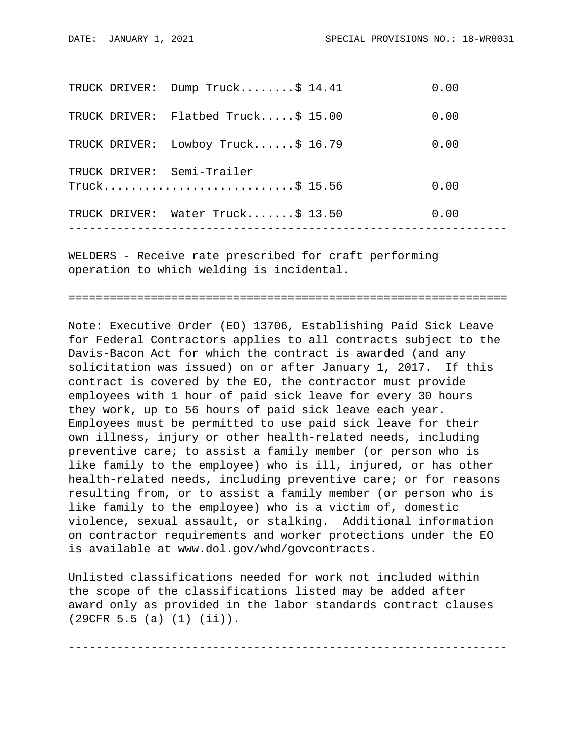|               | TRUCK DRIVER: Dump Truck\$ 14.41 | 0.00 |
|---------------|----------------------------------|------|
| TRUCK DRIVER: | Flatbed Truck $$15.00$           | 0.00 |
| TRUCK DRIVER: | Lowboy Truck $$16.79$            | 0.00 |
|               | TRUCK DRIVER: Semi-Trailer       |      |
|               | $True k$ 5 15.56                 | 0.00 |
| TRUCK DRIVER: | Water $Truck$ $$ 13.50$          | 0.00 |
|               |                                  |      |

WELDERS - Receive rate prescribed for craft performing operation to which welding is incidental.

================================================================

Note: Executive Order (EO) 13706, Establishing Paid Sick Leave for Federal Contractors applies to all contracts subject to the Davis-Bacon Act for which the contract is awarded (and any solicitation was issued) on or after January 1, 2017. If this contract is covered by the EO, the contractor must provide employees with 1 hour of paid sick leave for every 30 hours they work, up to 56 hours of paid sick leave each year. Employees must be permitted to use paid sick leave for their own illness, injury or other health-related needs, including preventive care; to assist a family member (or person who is like family to the employee) who is ill, injured, or has other health-related needs, including preventive care; or for reasons resulting from, or to assist a family member (or person who is like family to the employee) who is a victim of, domestic violence, sexual assault, or stalking. Additional information on contractor requirements and worker protections under the EO is available at www.dol.gov/whd/govcontracts.

Unlisted classifications needed for work not included within the scope of the classifications listed may be added after award only as provided in the labor standards contract clauses (29CFR 5.5 (a) (1) (ii)).

----------------------------------------------------------------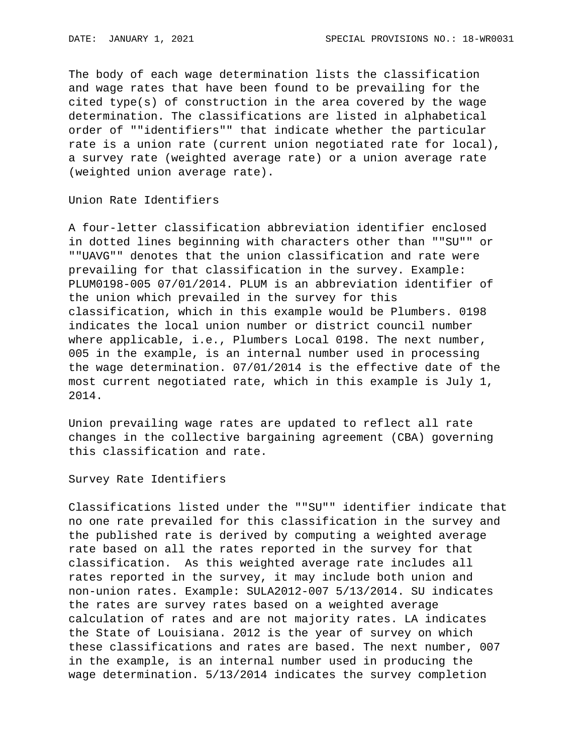The body of each wage determination lists the classification and wage rates that have been found to be prevailing for the cited type(s) of construction in the area covered by the wage determination. The classifications are listed in alphabetical order of ""identifiers"" that indicate whether the particular rate is a union rate (current union negotiated rate for local), a survey rate (weighted average rate) or a union average rate (weighted union average rate).

Union Rate Identifiers

A four-letter classification abbreviation identifier enclosed in dotted lines beginning with characters other than ""SU"" or ""UAVG"" denotes that the union classification and rate were prevailing for that classification in the survey. Example: PLUM0198-005 07/01/2014. PLUM is an abbreviation identifier of the union which prevailed in the survey for this classification, which in this example would be Plumbers. 0198 indicates the local union number or district council number where applicable, i.e., Plumbers Local 0198. The next number, 005 in the example, is an internal number used in processing the wage determination. 07/01/2014 is the effective date of the most current negotiated rate, which in this example is July 1, 2014.

Union prevailing wage rates are updated to reflect all rate changes in the collective bargaining agreement (CBA) governing this classification and rate.

Survey Rate Identifiers

Classifications listed under the ""SU"" identifier indicate that no one rate prevailed for this classification in the survey and the published rate is derived by computing a weighted average rate based on all the rates reported in the survey for that classification. As this weighted average rate includes all rates reported in the survey, it may include both union and non-union rates. Example: SULA2012-007 5/13/2014. SU indicates the rates are survey rates based on a weighted average calculation of rates and are not majority rates. LA indicates the State of Louisiana. 2012 is the year of survey on which these classifications and rates are based. The next number, 007 in the example, is an internal number used in producing the wage determination. 5/13/2014 indicates the survey completion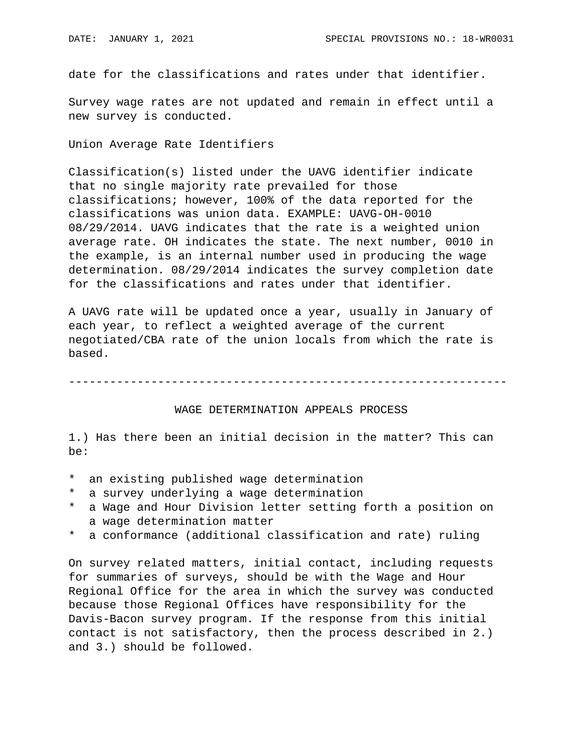date for the classifications and rates under that identifier.

Survey wage rates are not updated and remain in effect until a new survey is conducted.

Union Average Rate Identifiers

Classification(s) listed under the UAVG identifier indicate that no single majority rate prevailed for those classifications; however, 100% of the data reported for the classifications was union data. EXAMPLE: UAVG-OH-0010 08/29/2014. UAVG indicates that the rate is a weighted union average rate. OH indicates the state. The next number, 0010 in the example, is an internal number used in producing the wage determination. 08/29/2014 indicates the survey completion date for the classifications and rates under that identifier.

A UAVG rate will be updated once a year, usually in January of each year, to reflect a weighted average of the current negotiated/CBA rate of the union locals from which the rate is based.

----------------------------------------------------------------

## WAGE DETERMINATION APPEALS PROCESS

1.) Has there been an initial decision in the matter? This can be:

- \* an existing published wage determination
- \* a survey underlying a wage determination
- a Wage and Hour Division letter setting forth a position on a wage determination matter
- \* a conformance (additional classification and rate) ruling

On survey related matters, initial contact, including requests for summaries of surveys, should be with the Wage and Hour Regional Office for the area in which the survey was conducted because those Regional Offices have responsibility for the Davis-Bacon survey program. If the response from this initial contact is not satisfactory, then the process described in 2.) and 3.) should be followed.